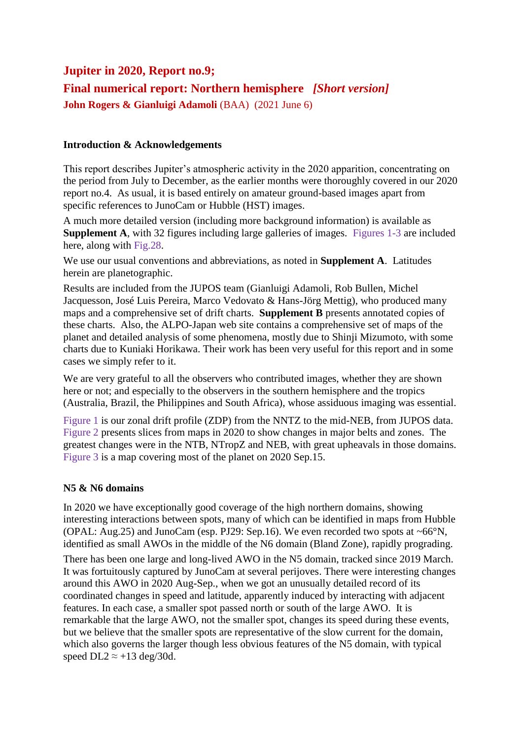# **Jupiter in 2020, Report no.9; Final numerical report: Northern hemisphere** *[Short version]* **John Rogers & Gianluigi Adamoli** (BAA) (2021 June 6)

#### **Introduction & Acknowledgements**

This report describes Jupiter's atmospheric activity in the 2020 apparition, concentrating on the period from July to December, as the earlier months were thoroughly covered in our 2020 report no.4. As usual, it is based entirely on amateur ground-based images apart from specific references to JunoCam or Hubble (HST) images.

A much more detailed version (including more background information) is available as **Supplement A**, with 32 figures including large galleries of images. Figures 1-3 are included here, along with Fig.28.

We use our usual conventions and abbreviations, as noted in **Supplement A**. Latitudes herein are planetographic.

Results are included from the JUPOS team (Gianluigi Adamoli, Rob Bullen, Michel Jacquesson, José Luis Pereira, Marco Vedovato & Hans-Jörg Mettig), who produced many maps and a comprehensive set of drift charts. **Supplement B** presents annotated copies of these charts. Also, the ALPO-Japan web site contains a comprehensive set of maps of the planet and detailed analysis of some phenomena, mostly due to Shinji Mizumoto, with some charts due to Kuniaki Horikawa. Their work has been very useful for this report and in some cases we simply refer to it.

We are very grateful to all the observers who contributed images, whether they are shown here or not; and especially to the observers in the southern hemisphere and the tropics (Australia, Brazil, the Philippines and South Africa), whose assiduous imaging was essential.

Figure 1 is our zonal drift profile (ZDP) from the NNTZ to the mid-NEB, from JUPOS data. Figure 2 presents slices from maps in 2020 to show changes in major belts and zones. The greatest changes were in the NTB, NTropZ and NEB, with great upheavals in those domains. Figure 3 is a map covering most of the planet on 2020 Sep.15.

## **N5 & N6 domains**

In 2020 we have exceptionally good coverage of the high northern domains, showing interesting interactions between spots, many of which can be identified in maps from Hubble (OPAL: Aug.25) and JunoCam (esp. PJ29: Sep.16). We even recorded two spots at ~66°N, identified as small AWOs in the middle of the N6 domain (Bland Zone), rapidly prograding.

There has been one large and long-lived AWO in the N5 domain, tracked since 2019 March. It was fortuitously captured by JunoCam at several perijoves. There were interesting changes around this AWO in 2020 Aug-Sep., when we got an unusually detailed record of its coordinated changes in speed and latitude, apparently induced by interacting with adjacent features. In each case, a smaller spot passed north or south of the large AWO. It is remarkable that the large AWO, not the smaller spot, changes its speed during these events, but we believe that the smaller spots are representative of the slow current for the domain, which also governs the larger though less obvious features of the N5 domain, with typical speed DL2  $\approx$  +13 deg/30d.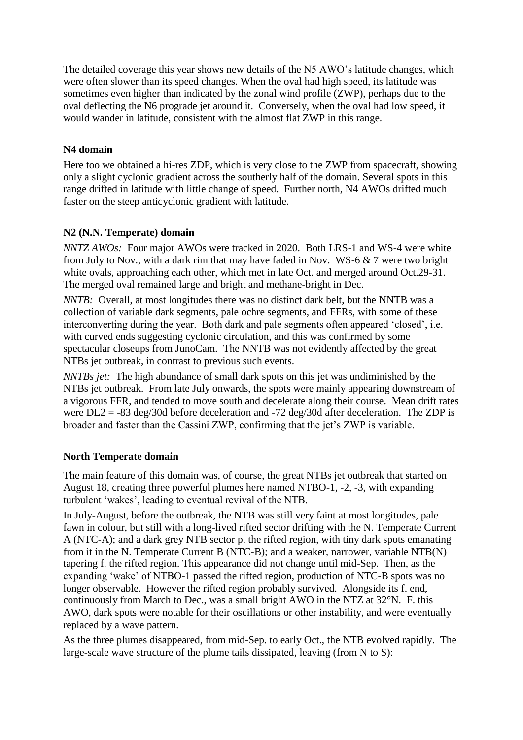The detailed coverage this year shows new details of the N5 AWO's latitude changes, which were often slower than its speed changes. When the oval had high speed, its latitude was sometimes even higher than indicated by the zonal wind profile (ZWP), perhaps due to the oval deflecting the N6 prograde jet around it. Conversely, when the oval had low speed, it would wander in latitude, consistent with the almost flat ZWP in this range.

# **N4 domain**

Here too we obtained a hi-res ZDP, which is very close to the ZWP from spacecraft, showing only a slight cyclonic gradient across the southerly half of the domain. Several spots in this range drifted in latitude with little change of speed. Further north, N4 AWOs drifted much faster on the steep anticyclonic gradient with latitude.

# **N2 (N.N. Temperate) domain**

*NNTZ AWOs:* Four major AWOs were tracked in 2020. Both LRS-1 and WS-4 were white from July to Nov., with a dark rim that may have faded in Nov. WS-6 & 7 were two bright white ovals, approaching each other, which met in late Oct. and merged around Oct.29-31. The merged oval remained large and bright and methane-bright in Dec.

*NNTB:* Overall, at most longitudes there was no distinct dark belt, but the NNTB was a collection of variable dark segments, pale ochre segments, and FFRs, with some of these interconverting during the year. Both dark and pale segments often appeared 'closed', i.e. with curved ends suggesting cyclonic circulation, and this was confirmed by some spectacular closeups from JunoCam. The NNTB was not evidently affected by the great NTBs jet outbreak, in contrast to previous such events.

*NNTBs jet:* The high abundance of small dark spots on this jet was undiminished by the NTBs jet outbreak. From late July onwards, the spots were mainly appearing downstream of a vigorous FFR, and tended to move south and decelerate along their course. Mean drift rates were DL2 = -83 deg/30d before deceleration and -72 deg/30d after deceleration. The ZDP is broader and faster than the Cassini ZWP, confirming that the jet's ZWP is variable.

## **North Temperate domain**

The main feature of this domain was, of course, the great NTBs jet outbreak that started on August 18, creating three powerful plumes here named NTBO-1, -2, -3, with expanding turbulent 'wakes', leading to eventual revival of the NTB.

In July-August, before the outbreak, the NTB was still very faint at most longitudes, pale fawn in colour, but still with a long-lived rifted sector drifting with the N. Temperate Current A (NTC-A); and a dark grey NTB sector p. the rifted region, with tiny dark spots emanating from it in the N. Temperate Current B (NTC-B); and a weaker, narrower, variable NTB(N) tapering f. the rifted region. This appearance did not change until mid-Sep. Then, as the expanding 'wake' of NTBO-1 passed the rifted region, production of NTC-B spots was no longer observable. However the rifted region probably survived. Alongside its f. end, continuously from March to Dec., was a small bright AWO in the NTZ at 32°N. F. this AWO, dark spots were notable for their oscillations or other instability, and were eventually replaced by a wave pattern.

As the three plumes disappeared, from mid-Sep. to early Oct., the NTB evolved rapidly. The large-scale wave structure of the plume tails dissipated, leaving (from N to S):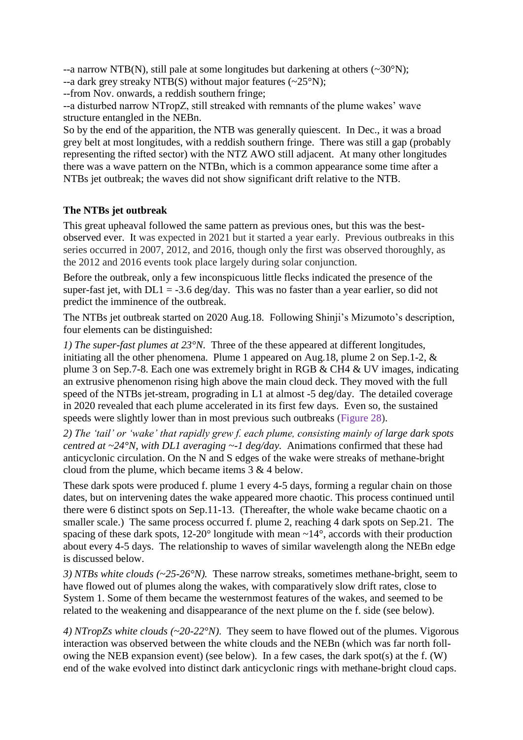--a narrow NTB(N), still pale at some longitudes but darkening at others  $(\sim 30^{\circ} N)$ ;

--a dark grey streaky NTB(S) without major features  $(\sim 25^{\circ}N)$ ;

--from Nov. onwards, a reddish southern fringe;

--a disturbed narrow NTropZ, still streaked with remnants of the plume wakes' wave structure entangled in the NEBn.

So by the end of the apparition, the NTB was generally quiescent. In Dec., it was a broad grey belt at most longitudes, with a reddish southern fringe. There was still a gap (probably representing the rifted sector) with the NTZ AWO still adjacent. At many other longitudes there was a wave pattern on the NTBn, which is a common appearance some time after a NTBs jet outbreak; the waves did not show significant drift relative to the NTB.

# **The NTBs jet outbreak**

This great upheaval followed the same pattern as previous ones, but this was the bestobserved ever. It was expected in 2021 but it started a year early. Previous outbreaks in this series occurred in 2007, 2012, and 2016, though only the first was observed thoroughly, as the 2012 and 2016 events took place largely during solar conjunction.

Before the outbreak, only a few inconspicuous little flecks indicated the presence of the super-fast jet, with  $DL1 = -3.6$  deg/day. This was no faster than a year earlier, so did not predict the imminence of the outbreak.

The NTBs jet outbreak started on 2020 Aug.18. Following Shinji's Mizumoto's description, four elements can be distinguished:

*1) The super-fast plumes at 23°N.* Three of the these appeared at different longitudes, initiating all the other phenomena. Plume 1 appeared on Aug.18, plume 2 on Sep.1-2, & plume 3 on Sep.7-8. Each one was extremely bright in RGB & CH4 & UV images, indicating an extrusive phenomenon rising high above the main cloud deck. They moved with the full speed of the NTBs jet-stream, prograding in L1 at almost -5 deg/day. The detailed coverage in 2020 revealed that each plume accelerated in its first few days. Even so, the sustained speeds were slightly lower than in most previous such outbreaks (Figure 28).

*2) The 'tail' or 'wake' that rapidly grew f. each plume, consisting mainly of large dark spots centred at ~24°N, with DL1 averaging ~-1 deg/day.* Animations confirmed that these had anticyclonic circulation. On the N and S edges of the wake were streaks of methane-bright cloud from the plume, which became items 3 & 4 below.

These dark spots were produced f. plume 1 every 4-5 days, forming a regular chain on those dates, but on intervening dates the wake appeared more chaotic. This process continued until there were 6 distinct spots on Sep.11-13. (Thereafter, the whole wake became chaotic on a smaller scale.) The same process occurred f. plume 2, reaching 4 dark spots on Sep.21. The spacing of these dark spots,  $12{\text -}20^{\circ}$  longitude with mean  ${\sim}14^{\circ}$ , accords with their production about every 4-5 days. The relationship to waves of similar wavelength along the NEBn edge is discussed below.

*3) NTBs white clouds (~25-26°N).* These narrow streaks, sometimes methane-bright, seem to have flowed out of plumes along the wakes, with comparatively slow drift rates, close to System 1. Some of them became the westernmost features of the wakes, and seemed to be related to the weakening and disappearance of the next plume on the f. side (see below).

*4) NTropZs white clouds (~20-22°N)*. They seem to have flowed out of the plumes. Vigorous interaction was observed between the white clouds and the NEBn (which was far north following the NEB expansion event) (see below). In a few cases, the dark spot(s) at the f. (W) end of the wake evolved into distinct dark anticyclonic rings with methane-bright cloud caps.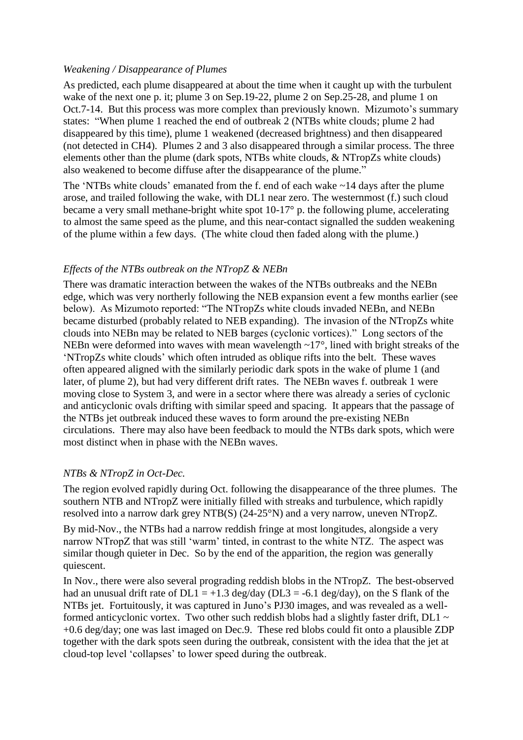#### *Weakening / Disappearance of Plumes*

As predicted, each plume disappeared at about the time when it caught up with the turbulent wake of the next one p. it; plume 3 on Sep.19-22, plume 2 on Sep.25-28, and plume 1 on Oct.7-14. But this process was more complex than previously known. Mizumoto's summary states: "When plume 1 reached the end of outbreak 2 (NTBs white clouds; plume 2 had disappeared by this time), plume 1 weakened (decreased brightness) and then disappeared (not detected in CH4). Plumes 2 and 3 also disappeared through a similar process. The three elements other than the plume (dark spots, NTBs white clouds, & NTropZs white clouds) also weakened to become diffuse after the disappearance of the plume."

The 'NTBs white clouds' emanated from the f. end of each wake ~14 days after the plume arose, and trailed following the wake, with DL1 near zero. The westernmost (f.) such cloud became a very small methane-bright white spot 10-17° p. the following plume, accelerating to almost the same speed as the plume, and this near-contact signalled the sudden weakening of the plume within a few days. (The white cloud then faded along with the plume.)

## *Effects of the NTBs outbreak on the NTropZ & NEBn*

There was dramatic interaction between the wakes of the NTBs outbreaks and the NEBn edge, which was very northerly following the NEB expansion event a few months earlier (see below). As Mizumoto reported: "The NTropZs white clouds invaded NEBn, and NEBn became disturbed (probably related to NEB expanding). The invasion of the NTropZs white clouds into NEBn may be related to NEB barges (cyclonic vortices)." Long sectors of the NEBn were deformed into waves with mean wavelength ~17°, lined with bright streaks of the 'NTropZs white clouds' which often intruded as oblique rifts into the belt. These waves often appeared aligned with the similarly periodic dark spots in the wake of plume 1 (and later, of plume 2), but had very different drift rates. The NEBn waves f. outbreak 1 were moving close to System 3, and were in a sector where there was already a series of cyclonic and anticyclonic ovals drifting with similar speed and spacing. It appears that the passage of the NTBs jet outbreak induced these waves to form around the pre-existing NEBn circulations. There may also have been feedback to mould the NTBs dark spots, which were most distinct when in phase with the NEBn waves.

## *NTBs & NTropZ in Oct-Dec.*

The region evolved rapidly during Oct. following the disappearance of the three plumes. The southern NTB and NTropZ were initially filled with streaks and turbulence, which rapidly resolved into a narrow dark grey NTB(S) (24-25°N) and a very narrow, uneven NTropZ.

By mid-Nov., the NTBs had a narrow reddish fringe at most longitudes, alongside a very narrow NTropZ that was still 'warm' tinted, in contrast to the white NTZ. The aspect was similar though quieter in Dec. So by the end of the apparition, the region was generally quiescent.

In Nov., there were also several prograding reddish blobs in the NTropZ. The best-observed had an unusual drift rate of  $DL1 = +1.3$  deg/day ( $DL3 = -6.1$  deg/day), on the S flank of the NTBs jet. Fortuitously, it was captured in Juno's PJ30 images, and was revealed as a wellformed anticyclonic vortex. Two other such reddish blobs had a slightly faster drift, DL1  $\sim$ +0.6 deg/day; one was last imaged on Dec.9. These red blobs could fit onto a plausible ZDP together with the dark spots seen during the outbreak, consistent with the idea that the jet at cloud-top level 'collapses' to lower speed during the outbreak.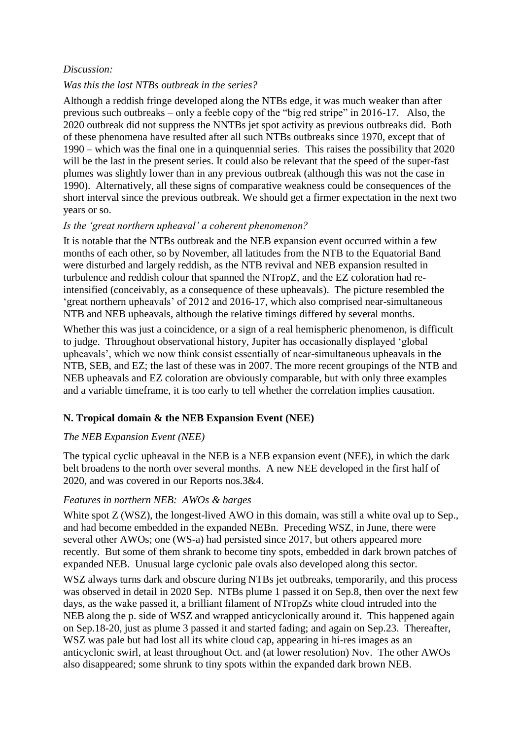## *Discussion:*

## *Was this the last NTBs outbreak in the series?*

Although a reddish fringe developed along the NTBs edge, it was much weaker than after previous such outbreaks – only a feeble copy of the "big red stripe" in 2016-17. Also, the 2020 outbreak did not suppress the NNTBs jet spot activity as previous outbreaks did. Both of these phenomena have resulted after all such NTBs outbreaks since 1970, except that of 1990 – which was the final one in a quinquennial series. This raises the possibility that 2020 will be the last in the present series. It could also be relevant that the speed of the super-fast plumes was slightly lower than in any previous outbreak (although this was not the case in 1990). Alternatively, all these signs of comparative weakness could be consequences of the short interval since the previous outbreak. We should get a firmer expectation in the next two years or so.

## *Is the 'great northern upheaval' a coherent phenomenon?*

It is notable that the NTBs outbreak and the NEB expansion event occurred within a few months of each other, so by November, all latitudes from the NTB to the Equatorial Band were disturbed and largely reddish, as the NTB revival and NEB expansion resulted in turbulence and reddish colour that spanned the NTropZ, and the EZ coloration had reintensified (conceivably, as a consequence of these upheavals). The picture resembled the 'great northern upheavals' of 2012 and 2016-17, which also comprised near-simultaneous NTB and NEB upheavals, although the relative timings differed by several months.

Whether this was just a coincidence, or a sign of a real hemispheric phenomenon, is difficult to judge. Throughout observational history, Jupiter has occasionally displayed 'global upheavals', which we now think consist essentially of near-simultaneous upheavals in the NTB, SEB, and EZ; the last of these was in 2007. The more recent groupings of the NTB and NEB upheavals and EZ coloration are obviously comparable, but with only three examples and a variable timeframe, it is too early to tell whether the correlation implies causation.

## **N. Tropical domain & the NEB Expansion Event (NEE)**

## *The NEB Expansion Event (NEE)*

The typical cyclic upheaval in the NEB is a NEB expansion event (NEE), in which the dark belt broadens to the north over several months. A new NEE developed in the first half of 2020, and was covered in our Reports nos.3&4.

#### *Features in northern NEB: AWOs & barges*

White spot Z (WSZ), the longest-lived AWO in this domain, was still a white oval up to Sep., and had become embedded in the expanded NEBn. Preceding WSZ, in June, there were several other AWOs; one (WS-a) had persisted since 2017, but others appeared more recently. But some of them shrank to become tiny spots, embedded in dark brown patches of expanded NEB. Unusual large cyclonic pale ovals also developed along this sector.

WSZ always turns dark and obscure during NTBs jet outbreaks, temporarily, and this process was observed in detail in 2020 Sep. NTBs plume 1 passed it on Sep.8, then over the next few days, as the wake passed it, a brilliant filament of NTropZs white cloud intruded into the NEB along the p. side of WSZ and wrapped anticyclonically around it. This happened again on Sep.18-20, just as plume 3 passed it and started fading; and again on Sep.23. Thereafter, WSZ was pale but had lost all its white cloud cap, appearing in hi-res images as an anticyclonic swirl, at least throughout Oct. and (at lower resolution) Nov. The other AWOs also disappeared; some shrunk to tiny spots within the expanded dark brown NEB.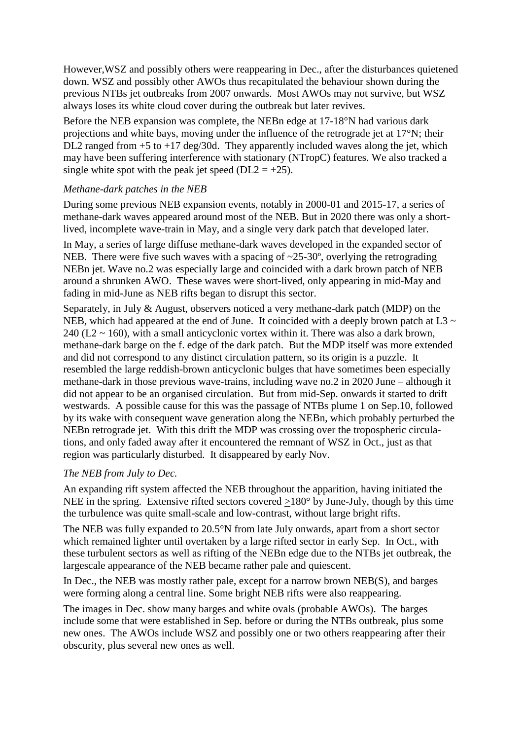However,WSZ and possibly others were reappearing in Dec., after the disturbances quietened down. WSZ and possibly other AWOs thus recapitulated the behaviour shown during the previous NTBs jet outbreaks from 2007 onwards. Most AWOs may not survive, but WSZ always loses its white cloud cover during the outbreak but later revives.

Before the NEB expansion was complete, the NEBn edge at 17-18°N had various dark projections and white bays, moving under the influence of the retrograde jet at 17°N; their DL2 ranged from  $+5$  to  $+17$  deg/30d. They apparently included waves along the jet, which may have been suffering interference with stationary (NTropC) features. We also tracked a single white spot with the peak jet speed ( $DL2 = +25$ ).

## *Methane-dark patches in the NEB*

During some previous NEB expansion events, notably in 2000-01 and 2015-17, a series of methane-dark waves appeared around most of the NEB. But in 2020 there was only a shortlived, incomplete wave-train in May, and a single very dark patch that developed later.

In May, a series of large diffuse methane-dark waves developed in the expanded sector of NEB. There were five such waves with a spacing of  $\sim$ 25-30 $\degree$ , overlying the retrograding NEBn jet. Wave no.2 was especially large and coincided with a dark brown patch of NEB around a shrunken AWO. These waves were short-lived, only appearing in mid-May and fading in mid-June as NEB rifts began to disrupt this sector.

Separately, in July & August, observers noticed a very methane-dark patch (MDP) on the NEB, which had appeared at the end of June. It coincided with a deeply brown patch at L3  $\sim$  $240$  (L2  $\sim$  160), with a small anticyclonic vortex within it. There was also a dark brown, methane-dark barge on the f. edge of the dark patch. But the MDP itself was more extended and did not correspond to any distinct circulation pattern, so its origin is a puzzle. It resembled the large reddish-brown anticyclonic bulges that have sometimes been especially methane-dark in those previous wave-trains, including wave no.2 in 2020 June – although it did not appear to be an organised circulation. But from mid-Sep. onwards it started to drift westwards. A possible cause for this was the passage of NTBs plume 1 on Sep.10, followed by its wake with consequent wave generation along the NEBn, which probably perturbed the NEBn retrograde jet. With this drift the MDP was crossing over the tropospheric circulations, and only faded away after it encountered the remnant of WSZ in Oct., just as that region was particularly disturbed. It disappeared by early Nov.

#### *The NEB from July to Dec.*

An expanding rift system affected the NEB throughout the apparition, having initiated the NEE in the spring. Extensive rifted sectors covered >180° by June-July, though by this time the turbulence was quite small-scale and low-contrast, without large bright rifts.

The NEB was fully expanded to 20.5°N from late July onwards, apart from a short sector which remained lighter until overtaken by a large rifted sector in early Sep. In Oct., with these turbulent sectors as well as rifting of the NEBn edge due to the NTBs jet outbreak, the largescale appearance of the NEB became rather pale and quiescent.

In Dec., the NEB was mostly rather pale, except for a narrow brown NEB(S), and barges were forming along a central line. Some bright NEB rifts were also reappearing.

The images in Dec. show many barges and white ovals (probable AWOs). The barges include some that were established in Sep. before or during the NTBs outbreak, plus some new ones. The AWOs include WSZ and possibly one or two others reappearing after their obscurity, plus several new ones as well.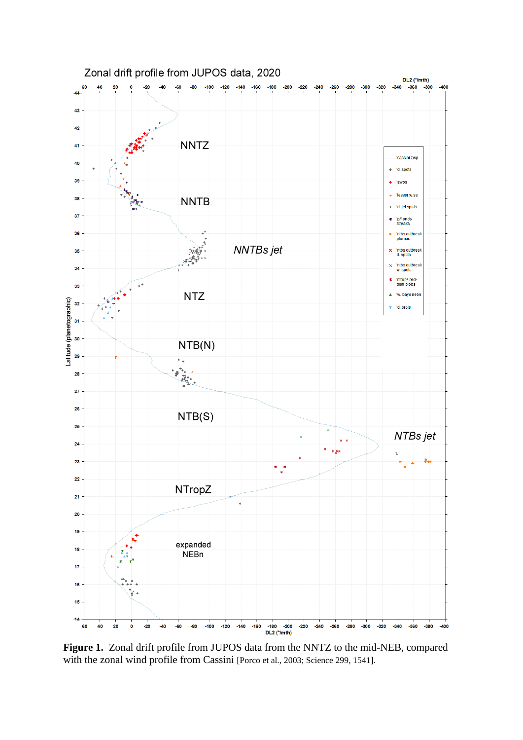

**Figure 1.** Zonal drift profile from JUPOS data from the NNTZ to the mid-NEB, compared with the zonal wind profile from Cassini [Porco et al., 2003; Science 299, 1541].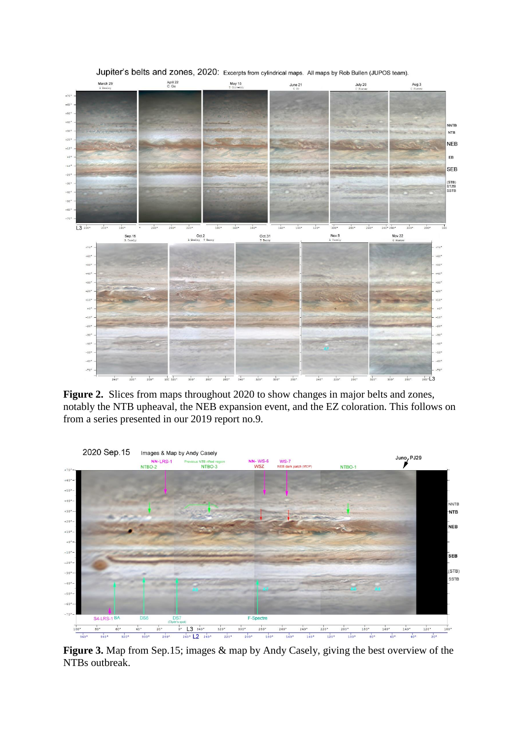

Jupiter's belts and zones, 2020: Excerpts from cylindrical maps. All maps by Rob Bullen (JUPOS team).

Figure 2. Slices from maps throughout 2020 to show changes in major belts and zones, notably the NTB upheaval, the NEB expansion event, and the EZ coloration. This follows on from a series presented in our 2019 report no.9.



**Figure 3.** Map from Sep.15; images & map by Andy Casely, giving the best overview of the NTBs outbreak.